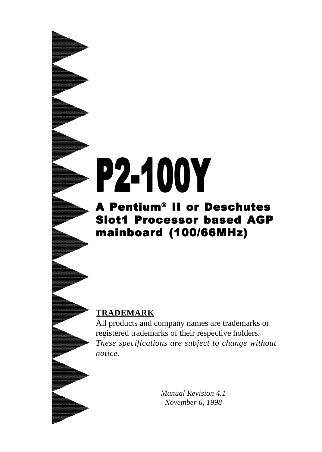# P2-100Y

A Pentium® II or Deschutes Slot1 Processor based AGP mainboard (100/66MHz) mainboard (100/66MHz)

# **TRADEMARK**

All products and company names are trademarks or registered trademarks of their respective holders. *These specifications are subject to change without notice.*

> *Manual Revision 4.1 November 6, 1998*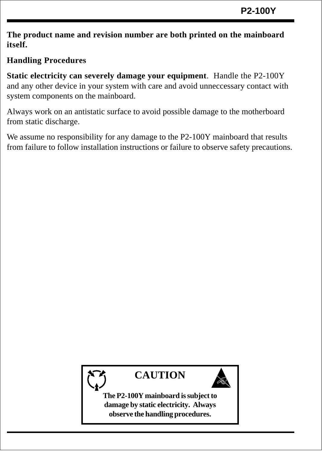**The product name and revision number are both printed on the mainboard itself.**

# **Handling Procedures**

**Static electricity can severely damage your equipment**. Handle the P2-100Y and any other device in your system with care and avoid unneccessary contact with system components on the mainboard.

Always work on an antistatic surface to avoid possible damage to the motherboard from static discharge.

We assume no responsibility for any damage to the P2-100Y mainboard that results from failure to follow installation instructions or failure to observe safety precautions.



**CAUTION**



**The P2-100Y mainboard is subject to damage by static electricity. Always observe the handling procedures.**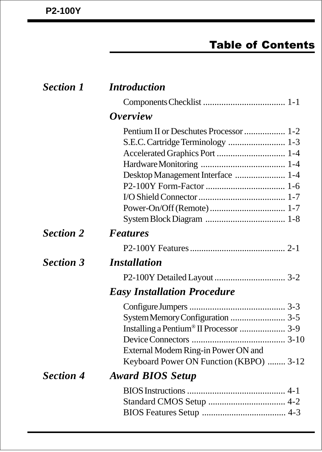# Table of Contents

| <b>Section 1</b> | <i>Introduction</i>                                                                                                       |
|------------------|---------------------------------------------------------------------------------------------------------------------------|
|                  |                                                                                                                           |
|                  | Overview                                                                                                                  |
|                  | S.E.C. Cartridge Terminology  1-3<br>Accelerated Graphics Port  1-4<br>Desktop Management Interface  1-4                  |
| <b>Section 2</b> |                                                                                                                           |
|                  | <b>Features</b>                                                                                                           |
|                  |                                                                                                                           |
| <b>Section 3</b> | <i><b>Installation</b></i>                                                                                                |
|                  |                                                                                                                           |
|                  | <b>Easy Installation Procedure</b>                                                                                        |
|                  | Installing a Pentium® II Processor  3-9<br>External Modem Ring-in Power ON and<br>Keyboard Power ON Function (KBPO)  3-12 |
| <b>Section 4</b> | <b>Award BIOS Setup</b>                                                                                                   |
|                  |                                                                                                                           |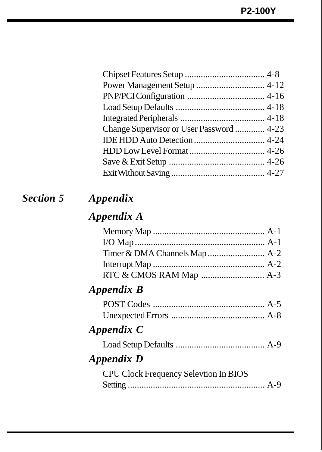| Change Supervisor or User Password  4-23 |  |
|------------------------------------------|--|
|                                          |  |
|                                          |  |
|                                          |  |
|                                          |  |
|                                          |  |

# *Section 5 Appendix*

# *Appendix A*

| Appendix B                            |  |
|---------------------------------------|--|
|                                       |  |
|                                       |  |
| Appendix C                            |  |
|                                       |  |
| Appendix D                            |  |
| CPU Clock Frequency Selevtion In BIOS |  |
|                                       |  |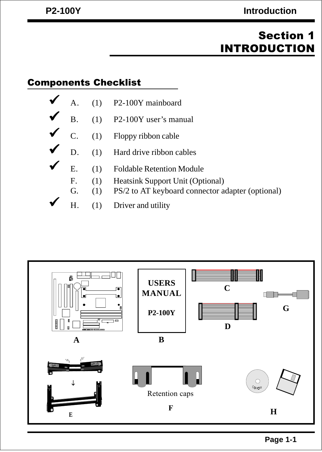# Section 1 INTRODUCTION

# Components Checklist

|                 | $\blacktriangleright$ A. (1) P2-100Y mainboard          |
|-----------------|---------------------------------------------------------|
|                 | $\blacktriangleright$ B. (1) P2-100Y user's manual      |
|                 | $\bigvee$ C. (1) Floppy ribbon cable                    |
|                 | $\bigvee$ D. (1) Hard drive ribbon cables               |
| $\checkmark$ E. | (1) Foldable Retention Module                           |
|                 | F. (1) Heatsink Support Unit (Optional)                 |
|                 | G. (1) PS/2 to AT keyboard connector adapter (optional) |
|                 | (1) Driver and utility                                  |

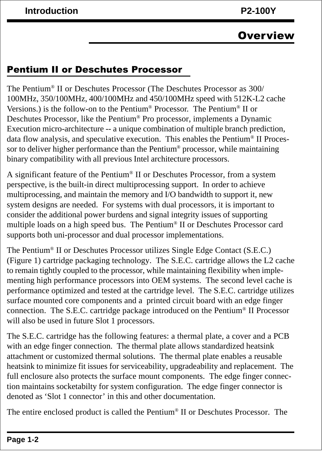# **Overview**

# Pentium II or Deschutes Processor

The Pentium® II or Deschutes Processor (The Deschutes Processor as 300/ 100MHz, 350/100MHz, 400/100MHz and 450/100MHz speed with 512K-L2 cache Versions.) is the follow-on to the Pentium® Processor. The Pentium® II or Deschutes Processor, like the Pentium® Pro processor, implements a Dynamic Execution micro-architecture -- a unique combination of multiple branch prediction, data flow analysis, and speculative execution. This enables the Pentium® II Processor to deliver higher performance than the Pentium® processor, while maintaining binary compatibility with all previous Intel architecture processors.

A significant feature of the Pentium® II or Deschutes Processor, from a system perspective, is the built-in direct multiprocessing support. In order to achieve multiprocessing, and maintain the memory and I/O bandwidth to support it, new system designs are needed. For systems with dual processors, it is important to consider the additional power burdens and signal integrity issues of supporting multiple loads on a high speed bus. The Pentium® II or Deschutes Processor card supports both uni-processor and dual processor implementations.

The Pentium® II or Deschutes Processor utilizes Single Edge Contact (S.E.C.) (Figure 1) cartridge packaging technology. The S.E.C. cartridge allows the L2 cache to remain tightly coupled to the processor, while maintaining flexibility when implementing high performance processors into OEM systems. The second level cache is performance optimized and tested at the cartridge level. The S.E.C. cartridge utilizes surface mounted core components and a printed circuit board with an edge finger connection. The S.E.C. cartridge package introduced on the Pentium® II Processor will also be used in future Slot 1 processors.

The S.E.C. cartridge has the following features: a thermal plate, a cover and a PCB with an edge finger connection. The thermal plate allows standardized heatsink attachment or customized thermal solutions. The thermal plate enables a reusable heatsink to minimize fit issues for serviceability, upgradeability and replacement. The full enclosure also protects the surface mount components. The edge finger connection maintains socketabilty for system configuration. The edge finger connector is denoted as 'Slot 1 connector' in this and other documentation.

The entire enclosed product is called the Pentium® II or Deschutes Processor. The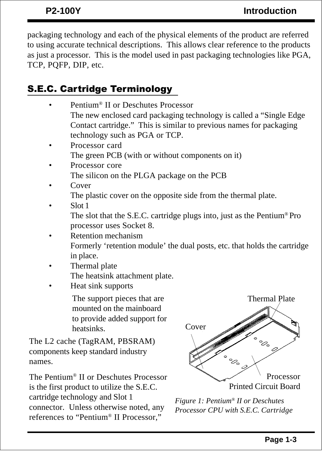packaging technology and each of the physical elements of the product are referred to using accurate technical descriptions. This allows clear reference to the products as just a processor. This is the model used in past packaging technologies like PGA, TCP, PQFP, DIP, etc.

# S.E.C. Cartridge Terminology

- Pentium® II or Deschutes Processor The new enclosed card packaging technology is called a "Single Edge Contact cartridge." This is similar to previous names for packaging technology such as PGA or TCP.
- Processor card The green PCB (with or without components on it)
- Processor core The silicon on the PLGA package on the PCB
- Cover

The plastic cover on the opposite side from the thermal plate.

- Slot 1 The slot that the S.E.C. cartridge plugs into, just as the Pentium® Pro processor uses Socket 8.
- Retention mechanism Formerly 'retention module' the dual posts, etc. that holds the cartridge in place.
- Thermal plate The heatsink attachment plate.
- Heat sink supports

The support pieces that are mounted on the mainboard to provide added support for heatsinks.

The L2 cache (TagRAM, PBSRAM) components keep standard industry names.

The Pentium® II or Deschutes Processor is the first product to utilize the S.E.C. cartridge technology and Slot 1 connector. Unless otherwise noted, any references to "Pentium® II Processor,"



*Figure 1: Pentium® II or Deschutes Processor CPU with S.E.C. Cartridge*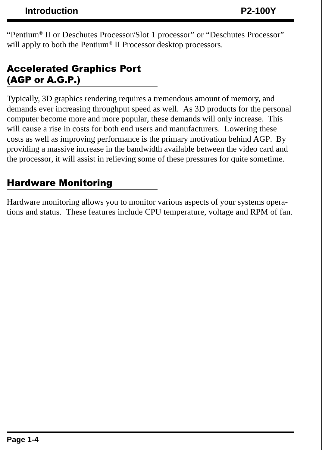"Pentium® II or Deschutes Processor/Slot 1 processor" or "Deschutes Processor" will apply to both the Pentium<sup>®</sup> II Processor desktop processors.

# Accelerated Graphics Port (AGP or A.G.P.)

Typically, 3D graphics rendering requires a tremendous amount of memory, and demands ever increasing throughput speed as well. As 3D products for the personal computer become more and more popular, these demands will only increase. This will cause a rise in costs for both end users and manufacturers. Lowering these costs as well as improving performance is the primary motivation behind AGP. By providing a massive increase in the bandwidth available between the video card and the processor, it will assist in relieving some of these pressures for quite sometime.

# Hardware Monitoring

Hardware monitoring allows you to monitor various aspects of your systems operations and status. These features include CPU temperature, voltage and RPM of fan.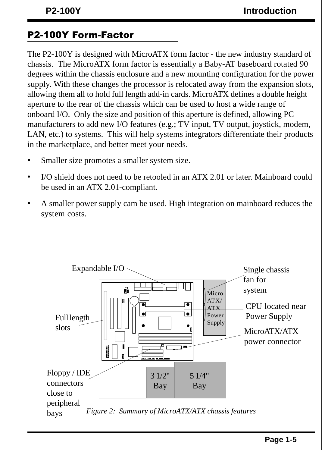# P2-100Y Form-Factor

The P2-100Y is designed with MicroATX form factor - the new industry standard of chassis. The MicroATX form factor is essentially a Baby-AT baseboard rotated 90 degrees within the chassis enclosure and a new mounting configuration for the power supply. With these changes the processor is relocated away from the expansion slots, allowing them all to hold full length add-in cards. MicroATX defines a double height aperture to the rear of the chassis which can be used to host a wide range of onboard I/O. Only the size and position of this aperture is defined, allowing PC manufacturers to add new I/O features (e.g.; TV input, TV output, joystick, modem, LAN, etc.) to systems. This will help systems integrators differentiate their products in the marketplace, and better meet your needs.

- Smaller size promotes a smaller system size.
- I/O shield does not need to be retooled in an ATX 2.01 or later. Mainboard could be used in an ATX 2.01-compliant.
- A smaller power supply cam be used. High integration on mainboard reduces the system costs.

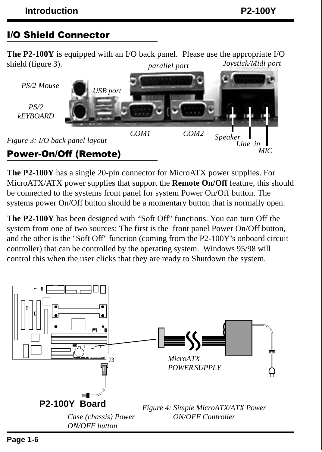# I/O Shield Connector

**The P2-100Y** is equipped with an I/O back panel. Please use the appropriate I/O shield (figure 3). *parallel port Joystick/Midi port*



**The P2-100Y** has a single 20-pin connector for MicroATX power supplies. For MicroATX/ATX power supplies that support the **Remote On/Off** feature, this should be connected to the systems front panel for system Power On/Off button. The systems power On/Off button should be a momentary button that is normally open.

**The P2-100Y** has been designed with "Soft Off" functions. You can turn Off the system from one of two sources: The first is the front panel Power On/Off button, and the other is the "Soft Off" function (coming from the P2-100Y's onboard circuit controller) that can be controlled by the operating system. Windows 95/98 will control this when the user clicks that they are ready to Shutdown the system.

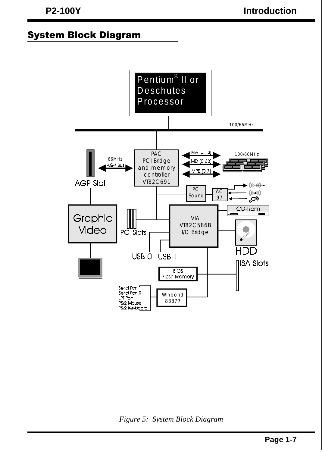# System Block Diagram



*Figure 5: System Block Diagram*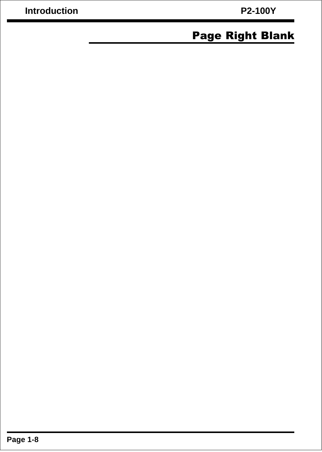# Page Right Blank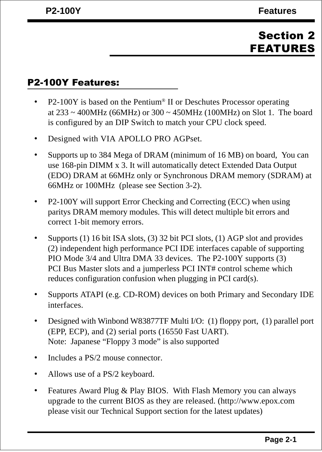# Section 2 FEATURES

# P2-100Y Features:

- P2-100Y is based on the Pentium® II or Deschutes Processor operating at  $233 \sim 400$ MHz (66MHz) or  $300 \sim 450$ MHz (100MHz) on Slot 1. The board is configured by an DIP Switch to match your CPU clock speed.
- Designed with VIA APOLLO PRO AGPset.
- Supports up to 384 Mega of DRAM (minimum of 16 MB) on board, You can use 168-pin DIMM x 3. It will automatically detect Extended Data Output (EDO) DRAM at 66MHz only or Synchronous DRAM memory (SDRAM) at 66MHz or 100MHz (please see Section 3-2).
- P2-100Y will support Error Checking and Correcting (ECC) when using paritys DRAM memory modules. This will detect multiple bit errors and correct 1-bit memory errors.
- Supports (1) 16 bit ISA slots, (3) 32 bit PCI slots, (1) AGP slot and provides (2) independent high performance PCI IDE interfaces capable of supporting PIO Mode 3/4 and Ultra DMA 33 devices. The P2-100Y supports (3) PCI Bus Master slots and a jumperless PCI INT# control scheme which reduces configuration confusion when plugging in PCI card(s).
- Supports ATAPI (e.g. CD-ROM) devices on both Primary and Secondary IDE interfaces.
- Designed with Winbond W83877TF Multi I/O: (1) floppy port, (1) parallel port (EPP, ECP), and (2) serial ports (16550 Fast UART). Note: Japanese "Floppy 3 mode" is also supported
- Includes a PS/2 mouse connector.
- Allows use of a PS/2 keyboard.
- Features Award Plug & Play BIOS. With Flash Memory you can always upgrade to the current BIOS as they are released. (http://www.epox.com please visit our Technical Support section for the latest updates)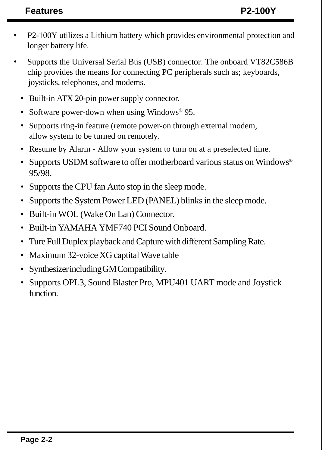# **Features P2-100Y**

- P2-100Y utilizes a Lithium battery which provides environmental protection and longer battery life.
- Supports the Universal Serial Bus (USB) connector. The onboard VT82C586B chip provides the means for connecting PC peripherals such as; keyboards, joysticks, telephones, and modems.
	- Built-in ATX 20-pin power supply connector.
	- Software power-down when using Windows<sup>®</sup> 95.
	- Supports ring-in feature (remote power-on through external modem, allow system to be turned on remotely.
	- Resume by Alarm Allow your system to turn on at a preselected time.
	- Supports USDM software to offer motherboard various status on Windows® 95/98.
	- Supports the CPU fan Auto stop in the sleep mode.
	- Supports the System Power LED (PANEL) blinks in the sleep mode.
	- Built-in WOL (Wake On Lan) Connector.
	- Built-in YAMAHA YMF740 PCI Sound Onboard
	- Ture Full Duplex playback and Capture with different Sampling Rate.
	- Maximum 32-voice XG captital Wave table
	- Synthesizer including GM Compatibility.
	- Supports OPL3, Sound Blaster Pro, MPU401 UART mode and Joystick function.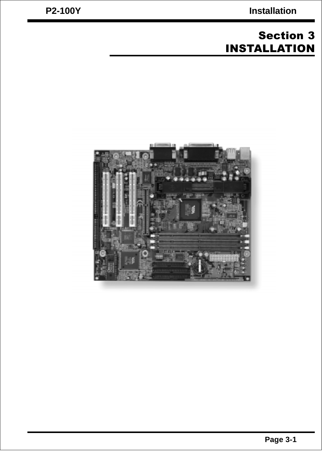# Section 3 INSTALLATION

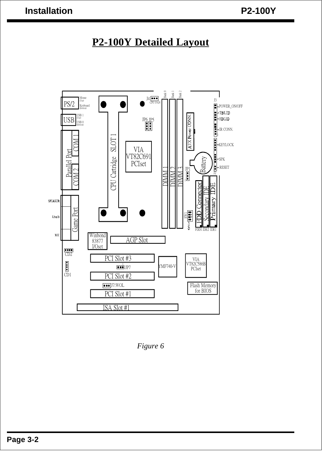# **P2-100Y Detailed Layout**



*Figure 6*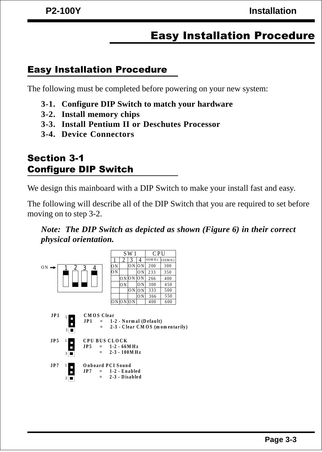# Easy Installation Procedure

# Easy Installation Procedure

The following must be completed before powering on your new system:

- **3-1. Configure DIP Switch to match your hardware**
- **3-2. Install memory chips**
- **3-3. Install Pentium II or Deschutes Processor**
- **3-4. Device Connectors**

# Section 3-1 Configure DIP Switch

We design this mainboard with a DIP Switch to make your install fast and easy.

The following will describe all of the DIP Switch that you are required to set before moving on to step 3-2.

*Note: The DIP Switch as depicted as shown (Figure 6) in their correct physical orientation.*

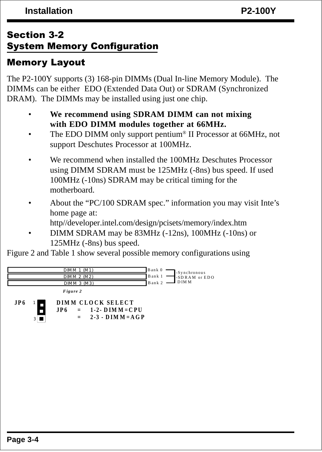# Section 3-2 System Memory Configuration

# Memory Layout

The P2-100Y supports (3) 168-pin DIMMs (Dual In-line Memory Module). The DIMMs can be either EDO (Extended Data Out) or SDRAM (Synchronized DRAM). The DIMMs may be installed using just one chip.

- **We recommend using SDRAM DIMM can not mixing with EDO DIMM modules together at 66MHz.**
- The EDO DIMM only support pentium® II Processor at 66MHz, not support Deschutes Processor at 100MHz.
- We recommend when installed the 100MHz Deschutes Processor using DIMM SDRAM must be 125MHz (-8ns) bus speed. If used 100MHz (-10ns) SDRAM may be critical timing for the motherboard.
- About the "PC/100 SDRAM spec." information you may visit Inte's home page at:

http//developer.intel.com/design/pcisets/memory/index.htm

• DIMM SDRAM may be 83MHz (-12ns), 100MHz (-10ns) or 125MHz (-8ns) bus speed.

Figure 2 and Table 1 show several possible memory configurations using

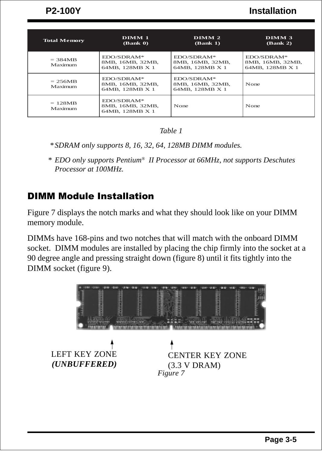| <b>Total Memory</b>  | DIMM 1<br>(Bank 0)                                | DIMM <sub>2</sub><br>(Bank 1)                       | DIMM <sub>3</sub><br>(Bank 2)                     |
|----------------------|---------------------------------------------------|-----------------------------------------------------|---------------------------------------------------|
| $=$ 384MB<br>Maximum | EDO/SDRAM*<br>8MB, 16MB, 32MB.<br>64MB, 128MB X 1 | $EDO/SDRAM*$<br>8MB, 16MB, 32MB,<br>64MB, 128MB X 1 | EDO/SDRAM*<br>8MB, 16MB, 32MB,<br>64MB, 128MB X 1 |
| $= 256MB$<br>Maximum | EDO/SDRAM*<br>8MB, 16MB, 32MB.<br>64MB, 128MB X 1 | $EDO/SDRAM*$<br>8MB, 16MB, 32MB.<br>64MB, 128MB X 1 | None                                              |
| $= 128MR$<br>Maximum | EDO/SDRAM*<br>8MB, 16MB, 32MB.<br>64MB, 128MB X 1 | None                                                | None                                              |

*Table 1*

 *\* SDRAM only supports 8, 16, 32, 64, 128MB DIMM modules.*

# DIMM Module Installation

Figure 7 displays the notch marks and what they should look like on your DIMM memory module.

DIMMs have 168-pins and two notches that will match with the onboard DIMM socket. DIMM modules are installed by placing the chip firmly into the socket at a 90 degree angle and pressing straight down (figure 8) until it fits tightly into the DIMM socket (figure 9).



*<sup>\*</sup> EDO only supports Pentium® II Processor at 66MHz, not supports Deschutes Processor at 100MHz.*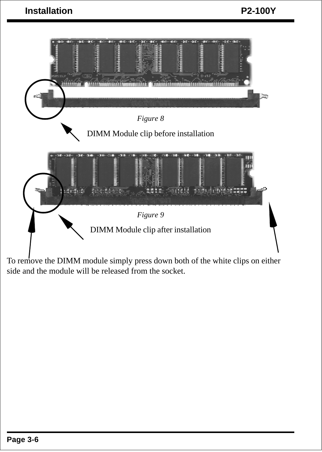

To remove the DIMM module simply press down both of the white clips on either side and the module will be released from the socket.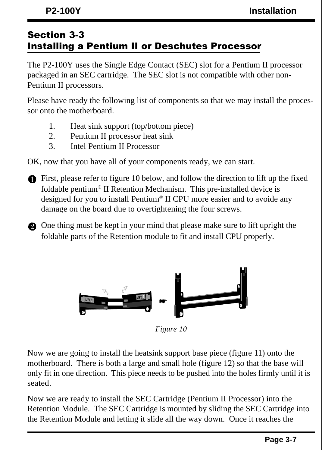# Section 3-3 Installing a Pentium II or Deschutes Processor

The P2-100Y uses the Single Edge Contact (SEC) slot for a Pentium II processor packaged in an SEC cartridge. The SEC slot is not compatible with other non-Pentium II processors.

Please have ready the following list of components so that we may install the processor onto the motherboard.

- 1. Heat sink support (top/bottom piece)
- 2. Pentium II processor heat sink
- 3. Intel Pentium II Processor

OK, now that you have all of your components ready, we can start.

First, please refer to figure 10 below, and follow the direction to lift up the fixed foldable pentium® II Retention Mechanism. This pre-installed device is designed for you to install Pentium® II CPU more easier and to avoide any damage on the board due to overtightening the four screws.

One thing must be kept in your mind that please make sure to lift upright the foldable parts of the Retention module to fit and install CPU properly.



*Figure 10*

Now we are going to install the heatsink support base piece (figure 11) onto the motherboard. There is both a large and small hole (figure 12) so that the base will only fit in one direction. This piece needs to be pushed into the holes firmly until it is seated.

Now we are ready to install the SEC Cartridge (Pentium II Processor) into the Retention Module. The SEC Cartridge is mounted by sliding the SEC Cartridge into the Retention Module and letting it slide all the way down. Once it reaches the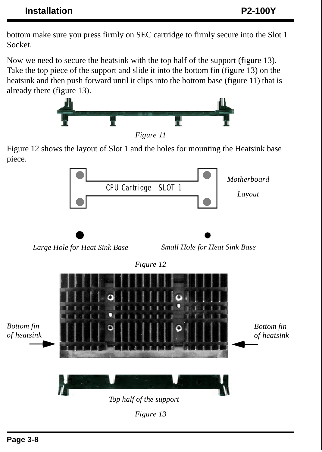bottom make sure you press firmly on SEC cartridge to firmly secure into the Slot 1 Socket.

Now we need to secure the heatsink with the top half of the support (figure 13). Take the top piece of the support and slide it into the bottom fin (figure 13) on the heatsink and then push forward until it clips into the bottom base (figure 11) that is already there (figure 13).



*Figure 11*

Figure 12 shows the layout of Slot 1 and the holes for mounting the Heatsink base piece.

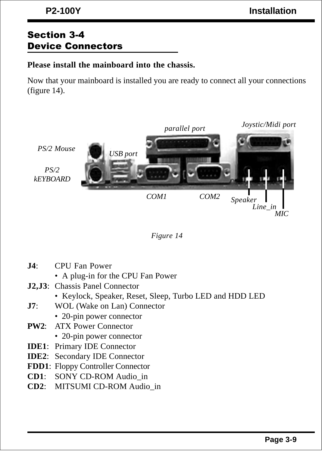# Section 3-4 Device Connectors

### **Please install the mainboard into the chassis.**

Now that your mainboard is installed you are ready to connect all your connections (figure 14).



*Figure 14*

- **J4**: CPU Fan Power
	- A plug-in for the CPU Fan Power
- **J2,J3**: Chassis Panel Connector
	- Keylock, Speaker, Reset, Sleep, Turbo LED and HDD LED
- **J7**: WOL (Wake on Lan) Connector
	- 20-pin power connector
- **PW2**: ATX Power Connector
	- 20-pin power connector
- **IDE1**: Primary IDE Connector
- **IDE2**: Secondary IDE Connector
- **FDD1**: Floppy Controller Connector
- **CD1**: SONY CD-ROM Audio\_in
- **CD2**: MITSUMI CD-ROM Audio\_in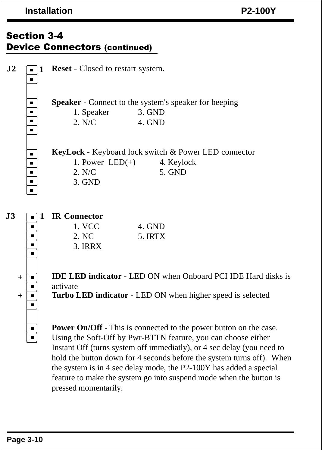$\blacksquare$  $\blacksquare$  $\blacksquare$  $\blacksquare$ 

 $\blacksquare$  $\blacksquare$  $\blacksquare$  $\blacksquare$  $\blacksquare$ 

# Section 3-4 Device Connectors (continued)

**J2 1 Reset** - Closed to restart system.  $\blacksquare$  $\blacksquare$ 

> **Speaker** - Connect to the system's speaker for beeping 1. Speaker 3. GND  $2. N/C$  4. GND

**KeyLock** - Keyboard lock switch & Power LED connector 1. Power  $LED(+)$  4. Keylock 2. N/C 5. GND 3. GND

| $\overline{\mathbf{J}}$ |          | 1<br>I |
|-------------------------|----------|--------|
|                         |          |        |
|                         |          |        |
|                         |          |        |
|                         |          |        |
|                         |          |        |
|                         |          |        |
|                         | $\,{}^+$ |        |
|                         |          |        |
|                         | $\,{}^+$ |        |
|                         |          |        |
|                         |          |        |
|                         |          |        |

**IR Connector** 1. VCC 4. GND 2. NC 5. IRTX 3. IRRX

**IDE LED indicator** - LED ON when Onboard PCI IDE Hard disks is activate

**Turbo LED indicator** - LED ON when higher speed is selected

**Power On/Off - This is connected to the power button on the case.** Using the Soft-Off by Pwr-BTTN feature, you can choose either Instant Off (turns system off immediatly), or 4 sec delay (you need to hold the button down for 4 seconds before the system turns off). When the system is in 4 sec delay mode, the P2-100Y has added a special feature to make the system go into suspend mode when the button is pressed momentarily.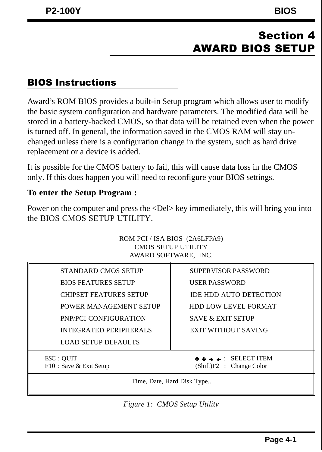# Section 4 AWARD BIOS SETUP

# BIOS Instructions

Award's ROM BIOS provides a built-in Setup program which allows user to modify the basic system configuration and hardware parameters. The modified data will be stored in a battery-backed CMOS, so that data will be retained even when the power is turned off. In general, the information saved in the CMOS RAM will stay unchanged unless there is a configuration change in the system, such as hard drive replacement or a device is added.

It is possible for the CMOS battery to fail, this will cause data loss in the CMOS only. If this does happen you will need to reconfigure your BIOS settings.

### **To enter the Setup Program :**

Power on the computer and press the <Del> key immediately, this will bring you into the BIOS CMOS SETUP UTILITY.

 $POM$   $PCI$  / IS A  $BIOS$  (2A6LFPA0)

| $\text{NOM}$ I CI / ISA DIOS (ZAULITAZ)<br><b>CMOS SETUP UTILITY</b><br>AWARD SOFTWARE, INC. |                                                                                          |  |  |  |
|----------------------------------------------------------------------------------------------|------------------------------------------------------------------------------------------|--|--|--|
| STANDARD CMOS SETUP                                                                          | SUPERVISOR PASSWORD                                                                      |  |  |  |
| <b>BIOS FEATURES SETUP</b>                                                                   | <b>USER PASSWORD</b>                                                                     |  |  |  |
| <b>CHIPSET FEATURES SETUP</b>                                                                | <b>IDE HDD AUTO DETECTION</b>                                                            |  |  |  |
| POWER MANAGEMENT SETUP                                                                       | <b>HDD LOW LEVEL FORMAT</b>                                                              |  |  |  |
| PNP/PCI CONFIGURATION                                                                        | <b>SAVE &amp; EXIT SETUP</b>                                                             |  |  |  |
| INTEGRATED PERIPHERALS                                                                       | EXIT WITHOUT SAVING                                                                      |  |  |  |
| <b>LOAD SETUP DEFAULTS</b>                                                                   |                                                                                          |  |  |  |
| ESC : OUIT<br>F10 : Save & Exit Setup                                                        | $\uparrow \downarrow \rightarrow \leftarrow$ : SELECT ITEM<br>$(Shift)F2$ : Change Color |  |  |  |
| Time, Date, Hard Disk Type                                                                   |                                                                                          |  |  |  |

*Figure 1: CMOS Setup Utility*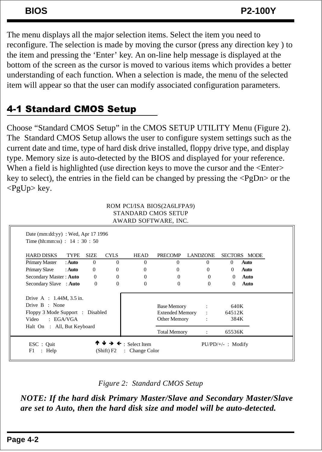The menu displays all the major selection items. Select the item you need to reconfigure. The selection is made by moving the cursor (press any direction key ) to the item and pressing the 'Enter' key. An on-line help message is displayed at the bottom of the screen as the cursor is moved to various items which provides a better understanding of each function. When a selection is made, the menu of the selected item will appear so that the user can modify associated configuration parameters.

# 4-1 Standard CMOS Setup

Choose "Standard CMOS Setup" in the CMOS SETUP UTILITY Menu (Figure 2). The Standard CMOS Setup allows the user to configure system settings such as the current date and time, type of hard disk drive installed, floppy drive type, and display type. Memory size is auto-detected by the BIOS and displayed for your reference. When a field is highlighted (use direction keys to move the cursor and the  $\leq$ Enter $>$ key to select), the entries in the field can be changed by pressing the <PgDn> or the  $<$ PgUp $>$  key.

> ROM PCI/ISA BIOS(2A6LFPA9) STANDARD CMOS SETUP AWARD SOFTWARE, INC.

| HARD DISKS                                                                                                              | <b>TYPE</b> | <b>SIZE</b> | <b>CYLS</b> | <b>HEAD</b> | <b>PRECOMP</b>                                                                      | LANDZONE                               |                                  | SECTORS MODE |
|-------------------------------------------------------------------------------------------------------------------------|-------------|-------------|-------------|-------------|-------------------------------------------------------------------------------------|----------------------------------------|----------------------------------|--------------|
| Primary Master                                                                                                          | : Auto      | $\Omega$    | $\Omega$    | $\Omega$    | $\Omega$                                                                            | $\Omega$                               | $\Omega$                         | Auto         |
| Primary Slave                                                                                                           | : Auto      | $\Omega$    | $\Omega$    | $\Omega$    | $\Omega$                                                                            | $\Omega$                               | $\Omega$                         | Auto         |
| Secondary Master: Auto                                                                                                  |             | $\Omega$    | $\Omega$    | $\Omega$    | $\Omega$                                                                            | $\Omega$                               | $\Omega$                         | Auto         |
| Secondary Slave : Auto                                                                                                  |             | $\Omega$    | $\Omega$    | $\Omega$    | $\Omega$                                                                            | $\Omega$                               | $\Omega$                         | Auto         |
| Drive $A : 1.44M, 3.5$ in.<br>Drive B: None<br>Floppy 3 Mode Support : Disabled<br>Video<br>Halt On : All, But Keyboard | EGA/VGA     |             |             |             | <b>Base Memory</b><br><b>Extended Memory</b><br>Other Memory<br><b>Total Memory</b> | $\ddot{\cdot}$<br>$\ddot{\phantom{a}}$ | 640K<br>64512K<br>384K<br>65536K |              |

*Figure 2: Standard CMOS Setup*

*NOTE: If the hard disk Primary Master/Slave and Secondary Master/Slave are set to Auto, then the hard disk size and model will be auto-detected.*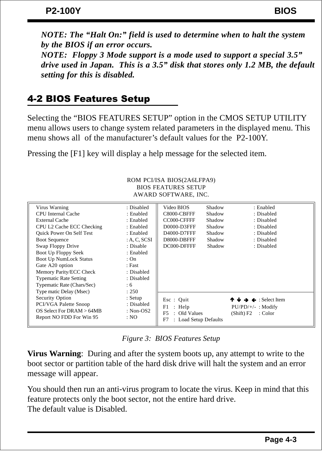*NOTE: The "Halt On:" field is used to determine when to halt the system by the BIOS if an error occurs.*

*NOTE: Floppy 3 Mode support is a mode used to support a special 3.5" drive used in Japan. This is a 3.5" disk that stores only 1.2 MB, the default setting for this is disabled.*

# 4-2 BIOS Features Setup

Selecting the "BIOS FEATURES SETUP" option in the CMOS SETUP UTILITY menu allows users to change system related parameters in the displayed menu. This menu shows all of the manufacturer's default values for the P2-100Y.

Pressing the [F1] key will display a help message for the selected item.

|                                                                                                                                                                                                                                                                                                                                                                           |                                                                                                                                                                        | AWAND SUI I WANE, INC.                                                                               |                                                                    |                                                                                                                  |
|---------------------------------------------------------------------------------------------------------------------------------------------------------------------------------------------------------------------------------------------------------------------------------------------------------------------------------------------------------------------------|------------------------------------------------------------------------------------------------------------------------------------------------------------------------|------------------------------------------------------------------------------------------------------|--------------------------------------------------------------------|------------------------------------------------------------------------------------------------------------------|
| Virus Warning<br><b>CPU</b> Internal Cache<br>External Cache<br>CPU L2 Cache ECC Checking<br><b>Ouick Power On Self Test</b><br><b>Boot Sequence</b><br>Swap Floppy Drive<br>Boot Up Floppy Seek<br><b>Boot Up NumLock Status</b><br>Gate A20 option<br>Memory Parity/ECC Check<br><b>Typematic Rate Setting</b><br>Typematic Rate (Chars/Sec)<br>Type matic Delay (Msec) | : Disabled<br>: Enabled<br>: Enabled<br>: Enabled<br>: Enabled<br>: A, C, SCSI<br>: Disable<br>: Enabled<br>: On<br>: Fast<br>: Disabled<br>: Disabled<br>: 6<br>: 250 | Video BIOS<br>C8000-CBFFF<br>CC000-CFFFF<br>D0000-D3FFF<br>D4000-D7FFF<br>D8000-DBFFF<br>DC000-DFFFF | Shadow<br>Shadow<br>Shadow<br>Shadow<br>Shadow<br>Shadow<br>Shadow | : Enabled<br>: Disabled<br>: Disabled<br>: Disabled<br>: Disabled<br>: Disabled<br>: Disabled                    |
| Security Option<br>PCI/VGA Palette Snoop<br>$OS$ Select For DRAM $> 64MB$<br>Report NO FDD For Win 95                                                                                                                                                                                                                                                                     | : Setup<br>: Disabled<br>: Non- $OS2$<br>:NO                                                                                                                           | Esc: Ouit<br>F1<br>: Help<br>: Old Values<br>F <sub>5</sub><br>F7<br>: Load Setup Defaults           |                                                                    | $\uparrow \uparrow \rightarrow \leftarrow : \text{Select Item}$<br>$PU/PD/+/-$ : Modify<br>(Shift) F2<br>: Color |

ROM PCI/ISA BIOS(2A6LFPA9) BIOS FEATURES SETUP AWARD SOFTWARE, INC.

*Figure 3: BIOS Features Setup*

**Virus Warning**:During and after the system boots up, any attempt to write to the boot sector or partition table of the hard disk drive will halt the system and an error message will appear.

You should then run an anti-virus program to locate the virus. Keep in mind that this feature protects only the boot sector, not the entire hard drive. The default value is Disabled.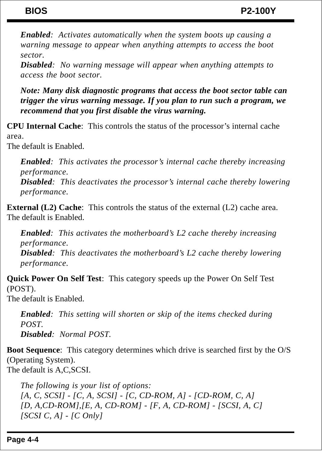*Enabled: Activates automatically when the system boots up causing a warning message to appear when anything attempts to access the boot sector.*

*Disabled: No warning message will appear when anything attempts to access the boot sector.*

*Note: Many disk diagnostic programs that access the boot sector table can trigger the virus warning message. If you plan to run such a program, we recommend that you first disable the virus warning.*

**CPU Internal Cache**: This controls the status of the processor's internal cache area.

The default is Enabled.

*Enabled: This activates the processor's internal cache thereby increasing performance. Disabled: This deactivates the processor's internal cache thereby lowering performance.*

**External (L2) Cache:** This controls the status of the external (L2) cache area. The default is Enabled.

*Enabled: This activates the motherboard's L2 cache thereby increasing performance. Disabled: This deactivates the motherboard's L2 cache thereby lowering performance.*

**Quick Power On Self Test**: This category speeds up the Power On Self Test (POST).

The default is Enabled.

*Enabled: This setting will shorten or skip of the items checked during POST. Disabled: Normal POST.*

**Boot Sequence**: This category determines which drive is searched first by the O/S (Operating System). The default is A,C,SCSI.

*The following is your list of options: [A, C, SCSI] - [C, A, SCSI] - [C, CD-ROM, A] - [CD-ROM, C, A] [D, A,CD-ROM],[E, A, CD-ROM] - [F, A, CD-ROM] - [SCSI, A, C] [SCSI C, A] - [C Only]*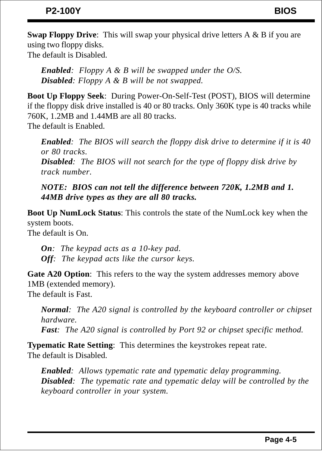**Swap Floppy Drive**: This will swap your physical drive letters A & B if you are using two floppy disks.

The default is Disabled.

*Enabled: Floppy A & B will be swapped under the O/S. Disabled: Floppy A & B will be not swapped.*

**Boot Up Floppy Seek**: During Power-On-Self-Test (POST), BIOS will determine if the floppy disk drive installed is 40 or 80 tracks. Only 360K type is 40 tracks while 760K, 1.2MB and 1.44MB are all 80 tracks.

The default is Enabled.

*Enabled: The BIOS will search the floppy disk drive to determine if it is 40 or 80 tracks. Disabled: The BIOS will not search for the type of floppy disk drive by track number.*

*NOTE: BIOS can not tell the difference between 720K, 1.2MB and 1. 44MB drive types as they are all 80 tracks.*

**Boot Up NumLock Status**: This controls the state of the NumLock key when the system boots.

The default is On.

*On: The keypad acts as a 10-key pad. Off: The keypad acts like the cursor keys.*

Gate A20 Option: This refers to the way the system addresses memory above 1MB (extended memory). The default is Fast.

*Normal: The A20 signal is controlled by the keyboard controller or chipset hardware. Fast: The A20 signal is controlled by Port 92 or chipset specific method.*

**Typematic Rate Setting**: This determines the keystrokes repeat rate.

The default is Disabled.

*Enabled: Allows typematic rate and typematic delay programming. Disabled: The typematic rate and typematic delay will be controlled by the keyboard controller in your system.*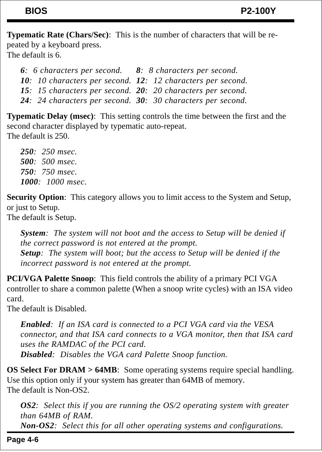**Typematic Rate (Chars/Sec)**: This is the number of characters that will be repeated by a keyboard press. The default is 6.

*: 6 characters per second. 8: 8 characters per second. : 10 characters per second. 12: 12 characters per second. : 15 characters per second. 20: 20 characters per second. : 24 characters per second. 30: 30 characters per second.*

**Typematic Delay (msec)**: This setting controls the time between the first and the second character displayed by typematic auto-repeat. The default is 250.

*: 250 msec. : 500 msec. : 750 msec. : 1000 msec.*

**Security Option**: This category allows you to limit access to the System and Setup, or just to Setup.

The default is Setup.

*System: The system will not boot and the access to Setup will be denied if the correct password is not entered at the prompt. Setup: The system will boot; but the access to Setup will be denied if the incorrect password is not entered at the prompt.*

**PCI/VGA Palette Snoop**: This field controls the ability of a primary PCI VGA controller to share a common palette (When a snoop write cycles) with an ISA video card.

The default is Disabled.

*Enabled: If an ISA card is connected to a PCI VGA card via the VESA connector, and that ISA card connects to a VGA monitor, then that ISA card uses the RAMDAC of the PCI card. Disabled: Disables the VGA card Palette Snoop function.*

**OS Select For DRAM > 64MB**: Some operating systems require special handling. Use this option only if your system has greater than 64MB of memory. The default is Non-OS2.

*OS2: Select this if you are running the OS/2 operating system with greater than 64MB of RAM. Non-OS2: Select this for all other operating systems and configurations.*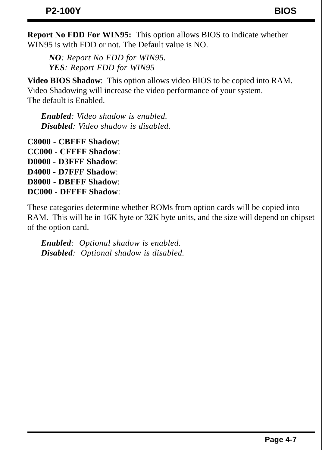**Report No FDD For WIN95:** This option allows BIOS to indicate whether WIN95 is with FDD or not. The Default value is NO.

*NO: Report No FDD for WIN95. YES: Report FDD for WIN95*

**Video BIOS Shadow**: This option allows video BIOS to be copied into RAM. Video Shadowing will increase the video performance of your system. The default is Enabled.

*Enabled: Video shadow is enabled. Disabled: Video shadow is disabled.*

**C8000 - CBFFF Shadow**: **CC000 - CFFFF Shadow**: **D0000 - D3FFF Shadow**: **D4000 - D7FFF Shadow**: **D8000 - DBFFF Shadow**: **DC000 - DFFFF Shadow**:

These categories determine whether ROMs from option cards will be copied into RAM. This will be in 16K byte or 32K byte units, and the size will depend on chipset of the option card.

*Enabled: Optional shadow is enabled. Disabled: Optional shadow is disabled.*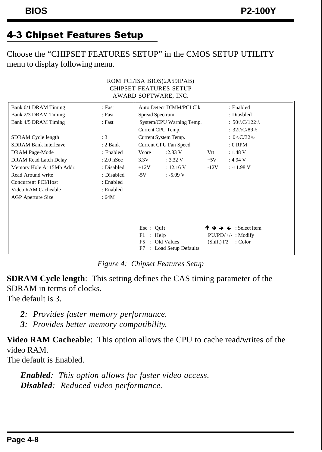# 4-3 Chipset Features Setup

Choose the "CHIPSET FEATURES SETUP" in the CMOS SETUP UTILITY menu to display following menu.

#### ROM PCI/ISA BIOS(2A59IPAB) CHIPSET FEATURES SETUP AWARD SOFTWARE, INC.

| Bank 0/1 DRAM Timing         | : Fast       |                          | Auto Detect DIMM/PCI Clk |            | : Enabled                        |
|------------------------------|--------------|--------------------------|--------------------------|------------|----------------------------------|
| Bank 2/3 DRAM Timing         | : Fast       | Spread Spectrum          |                          |            | : Diasbled                       |
| Bank 4/5 DRAM Timing         | : Fast       | System/CPU Warning Temp. |                          |            | : $50^{1/2}C/122^{1/2}$          |
|                              |              | Current CPU Temp.        |                          |            | : $32\frac{1}{2}C/89\frac{1}{2}$ |
| SDRAM Cycle length           | :3           | Current System Temp.     |                          |            | : $0^{1/2}C/32^{1/2}$            |
| <b>SDRAM Bank interleave</b> | $: 2$ Bank   | Current CPU Fan Speed    |                          |            | $: 0$ RPM                        |
| DRAM Page-Mode               | : Enabled    | Vcore                    | $:2.83$ V                | Vtt        | : 1.48 V                         |
| DRAM Read Latch Delay        | $: 2.0$ nSec | 3.3V                     | : 3.32 V                 | $+5V$      | : 4.94 V                         |
| Memory Hole At 15Mb Addr.    | : Disabled   | $+12V$                   | : 12.16 V                | $-12V$     | $: -11.98$ V                     |
| Read Around write            | : Disabled   | $-5V$                    | $: -5.09 V$              |            |                                  |
| Concurrent PCI/Host          | : Enabled    |                          |                          |            |                                  |
| Video RAM Cacheable          | : Enabled    |                          |                          |            |                                  |
| <b>AGP</b> Aperture Size     | :64M         |                          |                          |            |                                  |
|                              |              |                          |                          |            |                                  |
|                              |              |                          |                          |            |                                  |
|                              |              |                          |                          |            |                                  |
|                              |              | Esc: Ouit                |                          |            | $\leftarrow$ : Select Item       |
|                              |              | : Help<br>F1             |                          |            | $PU/PD/+/-$ : Modify             |
|                              |              | F <sub>5</sub>           | : Old Values             | (Shift) F2 | : Color                          |
|                              |              | F7                       | : Load Setup Defaults    |            |                                  |

*Figure 4: Chipset Features Setup*

**SDRAM Cycle length**: This setting defines the CAS timing parameter of the SDRAM in terms of clocks.

The default is 3.

- *2: Provides faster memory performance.*
- *3: Provides better memory compatibility.*

**Video RAM Cacheable**: This option allows the CPU to cache read/writes of the video RAM.

The default is Enabled.

*Enabled: This option allows for faster video access. Disabled: Reduced video performance.*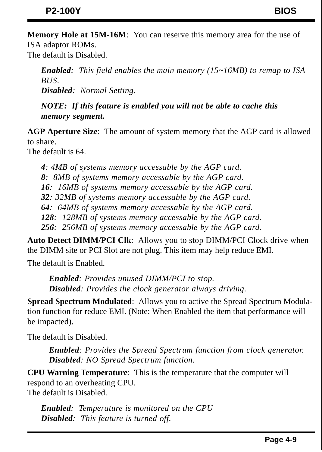**Memory Hole at 15M-16M**: You can reserve this memory area for the use of ISA adaptor ROMs.

The default is Disabled.

*Enabled: This field enables the main memory (15~16MB) to remap to ISA BUS. Disabled: Normal Setting.*

*NOTE: If this feature is enabled you will not be able to cache this memory segment.*

**AGP Aperture Size**: The amount of system memory that the AGP card is allowed to share.

The default is 64.

*: 4MB of systems memory accessable by the AGP card. : 8MB of systems memory accessable by the AGP card. : 16MB of systems memory accessable by the AGP card. : 32MB of systems memory accessable by the AGP card. : 64MB of systems memory accessable by the AGP card. : 128MB of systems memory accessable by the AGP card. : 256MB of systems memory accessable by the AGP card.*

**Auto Detect DIMM/PCI Clk**: Allows you to stop DIMM/PCI Clock drive when the DIMM site or PCI Slot are not plug. This item may help reduce EMI.

The default is Enabled.

*Enabled: Provides unused DIMM/PCI to stop. Disabled: Provides the clock generator always driving.*

**Spread Spectrum Modulated**: Allows you to active the Spread Spectrum Modulation function for reduce EMI. (Note: When Enabled the item that performance will be impacted).

The default is Disabled.

*Enabled: Provides the Spread Spectrum function from clock generator. Disabled: NO Spread Spectrum function.*

**CPU Warning Temperature**: This is the temperature that the computer will respond to an overheating CPU. The default is Disabled.

*Enabled: Temperature is monitored on the CPU Disabled: This feature is turned off.*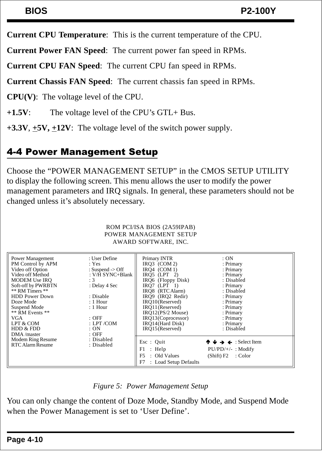**Current CPU Temperature**: This is the current temperature of the CPU.

**Current Power FAN Speed**: The current power fan speed in RPMs.

**Current CPU FAN Speed**: The current CPU fan speed in RPMs.

**Current Chassis FAN Speed**: The current chassis fan speed in RPMs.

**CPU(V)**: The voltage level of the CPU.

**+1.5V**: The voltage level of the CPU's GTL+ Bus.

 $+3.3V, \pm 5V, \pm 12V$ : The voltage level of the switch power supply.

# 4-4 Power Management Setup

Choose the "POWER MANAGEMENT SETUP" in the CMOS SETUP UTILITY to display the following screen. This menu allows the user to modify the power management parameters and IRQ signals. In general, these parameters should not be changed unless it's absolutely necessary.

| <b>Power Management</b><br>PM Control by APM<br>Video off Option<br>Video off Method<br><b>MODEM Use IRO</b><br>Soft-off by PWRBTN<br>** RM Timers **<br><b>HDD Power Down</b><br>Doze Mode<br>Suspend Mode<br>** RM Events **<br>VGA<br>LPT & COM | : User Define<br>: Yes<br>: Suspend $\rightarrow$ Off<br>: V/H SYNC+Blank<br>:3<br>: Delay 4 Sec<br>: Disable<br>$: 1$ Hour<br>$: 1$ Hour<br>$:$ OFF<br>: LPT $/COM$ | Primary INTR<br>$IRO3$ (COM 2)<br>IRO4 (COM 1)<br>$IRO5$ (LPT 2)<br>IRQ6 (Floppy Disk)<br>$IRO7$ (LPT 1)<br>IRO8 (RTC Alarm)<br>IRO9 (IRO2 Redir)<br>IRO10(Reserved)<br>IRO11(Reserved)<br>$IRO12(PS/2 \text{ Mouse})$<br>IRQ13(Coprocessor)<br>IRO14(Hard Disk) | :ON<br>: Primary<br>: Primary<br>: Primary<br>: Disabled<br>: Primary<br>: Disabled<br>: Primary<br>: Primary<br>: Primary<br>: Primary<br>: Primary<br>: Primary |
|----------------------------------------------------------------------------------------------------------------------------------------------------------------------------------------------------------------------------------------------------|----------------------------------------------------------------------------------------------------------------------------------------------------------------------|------------------------------------------------------------------------------------------------------------------------------------------------------------------------------------------------------------------------------------------------------------------|-------------------------------------------------------------------------------------------------------------------------------------------------------------------|
| HDD & FDD                                                                                                                                                                                                                                          | : ON                                                                                                                                                                 | IRQ15(Reserved)                                                                                                                                                                                                                                                  | : Disabled                                                                                                                                                        |
| DMA /master<br>Modem Ring Resume                                                                                                                                                                                                                   | $:$ OFF<br>: Disabled                                                                                                                                                | Esc: Ouit                                                                                                                                                                                                                                                        | $\uparrow \downarrow \rightarrow \leftarrow$ : Select Item                                                                                                        |
| RTC Alarm Resume                                                                                                                                                                                                                                   | : Disabled                                                                                                                                                           |                                                                                                                                                                                                                                                                  |                                                                                                                                                                   |
|                                                                                                                                                                                                                                                    |                                                                                                                                                                      | $\therefore$ Help<br>F1.<br>: Old Values<br>F5.                                                                                                                                                                                                                  | $PU/PD/+/-$ : Modify<br>(Shift) F2 : Color                                                                                                                        |
|                                                                                                                                                                                                                                                    |                                                                                                                                                                      | F7<br>: Load Setup Defaults                                                                                                                                                                                                                                      |                                                                                                                                                                   |
|                                                                                                                                                                                                                                                    |                                                                                                                                                                      |                                                                                                                                                                                                                                                                  |                                                                                                                                                                   |

#### ROM PCI/ISA BIOS (2A59IPAB) POWER MANAGEMENT SETUP AWARD SOFTWARE, INC.

### *Figure 5: Power Management Setup*

You can only change the content of Doze Mode, Standby Mode, and Suspend Mode when the Power Management is set to 'User Define'.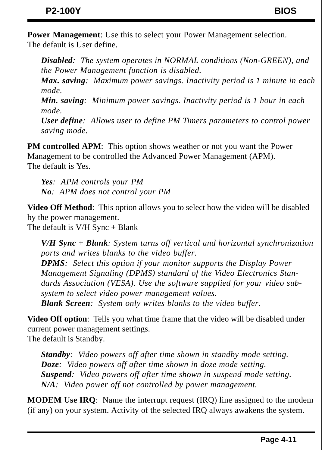**Power Management**: Use this to select your Power Management selection. The default is User define.

*Disabled: The system operates in NORMAL conditions (Non-GREEN), and the Power Management function is disabled. Max. saving: Maximum power savings. Inactivity period is 1 minute in each mode. Min. saving: Minimum power savings. Inactivity period is 1 hour in each mode. User define: Allows user to define PM Timers parameters to control power*

*saving mode.*

**PM controlled APM**: This option shows weather or not you want the Power Management to be controlled the Advanced Power Management (APM). The default is Yes.

*Yes: APM controls your PM No: APM does not control your PM*

**Video Off Method**: This option allows you to select how the video will be disabled by the power management. The default is  $V/H$  Sync + Blank

*V/H Sync + Blank: System turns off vertical and horizontal synchronization ports and writes blanks to the video buffer. DPMS: Select this option if your monitor supports the Display Power Management Signaling (DPMS) standard of the Video Electronics Standards Association (VESA). Use the software supplied for your video subsystem to select video power management values. Blank Screen: System only writes blanks to the video buffer.*

**Video Off option**: Tells you what time frame that the video will be disabled under current power management settings.

The default is Standby.

*Standby: Video powers off after time shown in standby mode setting. Doze: Video powers off after time shown in doze mode setting. Suspend: Video powers off after time shown in suspend mode setting. N/A: Video power off not controlled by power management.*

**MODEM Use IRQ**: Name the interrupt request (IRQ) line assigned to the modem (if any) on your system. Activity of the selected IRQ always awakens the system.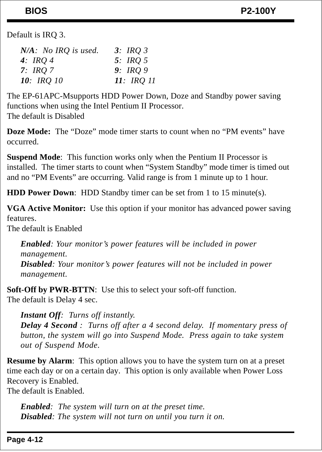Default is IRQ 3.

| N/A: No IRQ is used. | 3: IRQ3      |
|----------------------|--------------|
| 4: $IRO_4$           | 5: $IRO$ 5   |
| 7: $IRO.7$           | 9: IRO9      |
| $10:$ IRQ 10         | $11:$ IRQ 11 |

The EP-61APC-Msupports HDD Power Down, Doze and Standby power saving functions when using the Intel Pentium II Processor. The default is Disabled

**Doze Mode:** The "Doze" mode timer starts to count when no "PM events" have occurred.

**Suspend Mode**: This function works only when the Pentium II Processor is installed. The timer starts to count when "System Standby" mode timer is timed out and no "PM Events" are occurring. Valid range is from 1 minute up to 1 hour.

**HDD Power Down**: HDD Standby timer can be set from 1 to 15 minute(s).

**VGA Active Monitor:** Use this option if your monitor has advanced power saving features.

The default is Enabled

*Enabled: Your monitor's power features will be included in power management. Disabled: Your monitor's power features will not be included in power management.*

**Soft-Off by PWR-BTTN**: Use this to select your soft-off function. The default is Delay 4 sec.

*Instant Off: Turns off instantly.*

*Delay 4 Second : Turns off after a 4 second delay. If momentary press of button, the system will go into Suspend Mode. Press again to take system out of Suspend Mode.*

**Resume by Alarm:** This option allows you to have the system turn on at a preset time each day or on a certain day. This option is only available when Power Loss Recovery is Enabled.

The default is Enabled.

*Enabled: The system will turn on at the preset time. Disabled: The system will not turn on until you turn it on.*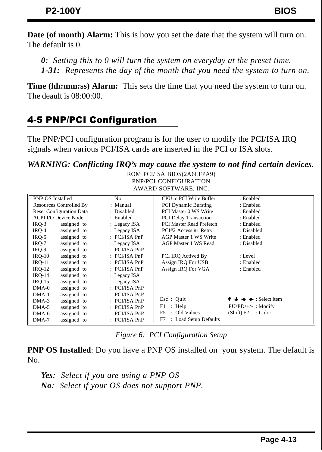**Date (of month) Alarm:** This is how you set the date that the system will turn on. The default is 0.

*0: Setting this to 0 will turn the system on everyday at the preset time. 1-31: Represents the day of the month that you need the system to turn on.*

**Time (hh:mm:ss) Alarm:** This sets the time that you need the system to turn on. The deault is 08:00:00.

# 4-5 PNP/PCI Configuration

The PNP/PCI configuration program is for the user to modify the PCI/ISA IRQ signals when various PCI/ISA cards are inserted in the PCI or ISA slots.

*WARNING: Conflicting IRQ's may cause the system to not find certain devices.*

ROM PCI/ISA BIOS(2A6LFPA9) PNP/PCI CONFIGURATION AWARD SOFTWARE, INC.

| <b>PNP OS Installed</b>         | : No            | CPU to PCI Write Buffer         | : Enabled                                                  |
|---------------------------------|-----------------|---------------------------------|------------------------------------------------------------|
| Resources Controlled By         | : Manual        | <b>PCI Dynamic Bursting</b>     | : Enabled                                                  |
| <b>Reset Configuration Data</b> | : Disabled      | PCI Master 0 WS Write           | : Enabled                                                  |
| <b>ACPI I/O Device Node</b>     | : Enabled       | <b>PCI Delay Transaction</b>    | : Enabled                                                  |
| $IRO-3$<br>assigned to          | : Legacy ISA    | <b>PCI Master Read Prefetch</b> | : Enabled                                                  |
| $IRO-4$<br>assigned to          | $:$ Legacy ISA  | PCI#2 Access #1 Retry           | : Disabled                                                 |
| $IRO-5$<br>assigned to          | $: PCUISA$ PnP  | AGP Master 1 WS Write           | : Enabled                                                  |
| $IRO-7$<br>assigned to          | : Legacy ISA    | AGP Master 1 WS Read            | : Disabled                                                 |
| $IRQ-9$<br>assigned to          | $: PCI/ISA$ PnP |                                 |                                                            |
| $IRO-10$<br>assigned to         | $: PCI/ISA$ PnP | PCI IRO Actived By              | : Level                                                    |
| $IRO-11$<br>assigned to         | : PCI/ISA PnP   | Assign IRO For USB              | : Enabled                                                  |
| $IRO-12$<br>assigned to         | $: PCI/ISA$ PnP | Assign IRO For VGA              | : Enabled                                                  |
| $IRO-14$<br>assigned to         | : Legacy ISA    |                                 |                                                            |
| $IRO-15$<br>assigned to         | $:$ Legacy ISA  |                                 |                                                            |
| $DMA-0$<br>assigned to          | $: PCI/ISA$ PnP |                                 |                                                            |
| assigned to<br>$DMA-1$          | $: PCI/ISA$ PnP |                                 |                                                            |
| $DMA-3$<br>assigned to          | $: PCI/ISA$ PnP | Esc: Quit                       | $\uparrow \downarrow \rightarrow \leftarrow$ : Select Item |
| $DMA-5$<br>assigned to          | : PCI/ISA PnP   | $\therefore$ Help<br>F1         | $PU/PD/+/-$ : Modify                                       |
| DMA-6<br>assigned to            | : PCI/ISA PnP   | : Old Values<br>F5              | (Shift) F2<br>: Color                                      |
| $DMA-7$<br>assigned to          | : PCI/ISA PnP   | : Load Setup Defaults<br>F7     |                                                            |

*Figure 6: PCI Configuration Setup*

**PNP OS Installed**: Do you have a PNP OS installed on your system. The default is No.

*Yes: Select if you are using a PNP OS*

*No: Select if your OS does not support PNP.*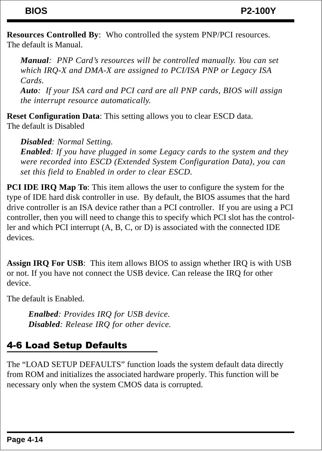**Resources Controlled By**: Who controlled the system PNP/PCI resources. The default is Manual.

*Manual: PNP Card's resources will be controlled manually. You can set which IRQ-X and DMA-X are assigned to PCI/ISA PNP or Legacy ISA Cards. Auto: If your ISA card and PCI card are all PNP cards, BIOS will assign the interrupt resource automatically.*

**Reset Configuration Data**: This setting allows you to clear ESCD data. The default is Disabled

*Disabled: Normal Setting.*

*Enabled: If you have plugged in some Legacy cards to the system and they were recorded into ESCD (Extended System Configuration Data), you can set this field to Enabled in order to clear ESCD.*

**PCI IDE IRQ Map To:** This item allows the user to configure the system for the type of IDE hard disk controller in use. By default, the BIOS assumes that the hard drive controller is an ISA device rather than a PCI controller. If you are using a PCI controller, then you will need to change this to specify which PCI slot has the controller and which PCI interrupt (A, B, C, or D) is associated with the connected IDE devices.

**Assign IRQ For USB**: This item allows BIOS to assign whether IRQ is with USB or not. If you have not connect the USB device. Can release the IRQ for other device.

The default is Enabled.

*Enalbed: Provides IRQ for USB device. Disabled: Release IRQ for other device.*

# 4-6 Load Setup Defaults

The "LOAD SETUP DEFAULTS" function loads the system default data directly from ROM and initializes the associated hardware properly. This function will be necessary only when the system CMOS data is corrupted.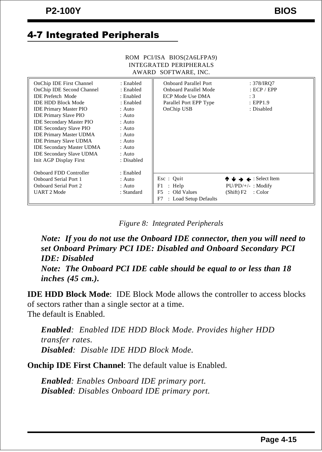# 4-7 Integrated Peripherals

| ROM PCI/ISA BIOS(2A6LFPA9)<br>INTEGRATED PERIPHERALS<br>AWARD SOFTWARE, INC.                                                                                                                                                                                                                                                                                                                                                                              |                                                                                                                                                               |                                                                                                                          |                                                                                                        |  |
|-----------------------------------------------------------------------------------------------------------------------------------------------------------------------------------------------------------------------------------------------------------------------------------------------------------------------------------------------------------------------------------------------------------------------------------------------------------|---------------------------------------------------------------------------------------------------------------------------------------------------------------|--------------------------------------------------------------------------------------------------------------------------|--------------------------------------------------------------------------------------------------------|--|
| OnChip IDE First Channel<br>OnChip IDE Second Channel<br><b>IDE Prefetch Mode</b><br><b>IDE HDD Block Mode</b><br><b>IDE Primary Master PIO</b><br><b>IDE Primary Slave PIO</b><br><b>IDE Secondary Master PIO</b><br><b>IDE Secondary Slave PIO</b><br><b>IDE Primary Master UDMA</b><br><b>IDE Primary Slave UDMA</b><br><b>IDE Secondary Master UDMA</b><br><b>IDE Secondary Slave UDMA</b><br>Init AGP Display First<br><b>Onboard FDD Controller</b> | : Enabled<br>: Enabled<br>: Enabled<br>: Enabled<br>: Auto<br>$:$ Auto<br>: Auto<br>: Auto<br>: Auto<br>: Auto<br>: Auto<br>: Auto<br>: Disabled<br>: Enabled | <b>Onboard Parallel Port</b><br><b>Onboard Parallel Mode</b><br>ECP Mode Use DMA<br>Parallel Port EPP Type<br>OnChip USB | : 378/IRO7<br>ECP / EPP<br>:3<br>EPP1.9<br>: Disabled                                                  |  |
| <b>Onboard Serial Port 1</b><br><b>Onboard Serial Port 2</b><br><b>UART 2 Mode</b>                                                                                                                                                                                                                                                                                                                                                                        | $:$ Auto<br>: Auto<br>: Standard                                                                                                                              | Esc : Out<br>F1 : Help<br>: Old Values<br>F5<br>F7<br>: Load Setup Defaults                                              | $\uparrow \uparrow \rightarrow \bullet$ : Select Item<br>$PU/PD/+/-$ : Modify<br>(Shift) F2<br>: Color |  |
|                                                                                                                                                                                                                                                                                                                                                                                                                                                           |                                                                                                                                                               |                                                                                                                          |                                                                                                        |  |

*Figure 8: Integrated Peripherals*

*Note: If you do not use the Onboard IDE connector, then you will need to set Onboard Primary PCI IDE: Disabled and Onboard Secondary PCI IDE: Disabled Note: The Onboard PCI IDE cable should be equal to or less than 18 inches (45 cm.).*

**IDE HDD Block Mode**: IDE Block Mode allows the controller to access blocks of sectors rather than a single sector at a time. The default is Enabled.

*Enabled: Enabled IDE HDD Block Mode. Provides higher HDD transfer rates. Disabled: Disable IDE HDD Block Mode.*

**Onchip IDE First Channel**: The default value is Enabled.

*Enabled: Enables Onboard IDE primary port. Disabled: Disables Onboard IDE primary port.*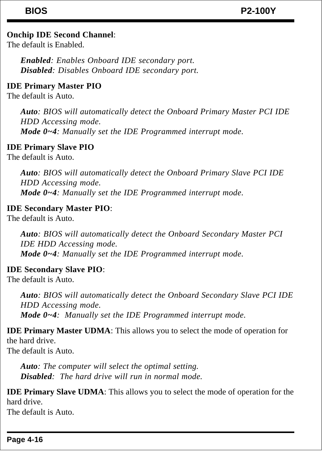### **Onchip IDE Second Channel**:

The default is Enabled.

*Enabled: Enables Onboard IDE secondary port. Disabled: Disables Onboard IDE secondary port.*

### **IDE Primary Master PIO**

The default is Auto.

*Auto: BIOS will automatically detect the Onboard Primary Master PCI IDE HDD Accessing mode. Mode 0~4: Manually set the IDE Programmed interrupt mode.*

### **IDE Primary Slave PIO**

The default is Auto.

*Auto: BIOS will automatically detect the Onboard Primary Slave PCI IDE HDD Accessing mode. Mode 0~4: Manually set the IDE Programmed interrupt mode.*

### **IDE Secondary Master PIO**:

The default is Auto.

*Auto: BIOS will automatically detect the Onboard Secondary Master PCI IDE HDD Accessing mode. Mode 0~4: Manually set the IDE Programmed interrupt mode.*

### **IDE Secondary Slave PIO**:

The default is Auto.

*Auto: BIOS will automatically detect the Onboard Secondary Slave PCI IDE HDD Accessing mode. Mode 0~4: Manually set the IDE Programmed interrupt mode.*

**IDE Primary Master UDMA**: This allows you to select the mode of operation for the hard drive. The default is Auto.

*Auto: The computer will select the optimal setting. Disabled: The hard drive will run in normal mode.*

**IDE Primary Slave UDMA**: This allows you to select the mode of operation for the hard drive. The default is Auto.

**Page 4-16**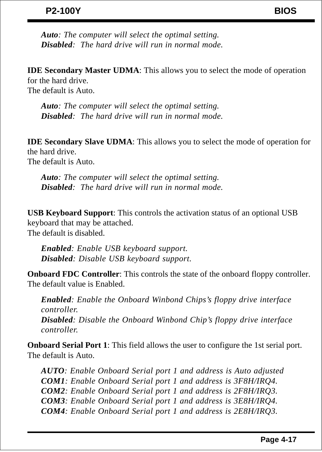*Auto: The computer will select the optimal setting. Disabled: The hard drive will run in normal mode.*

**IDE Secondary Master UDMA**: This allows you to select the mode of operation for the hard drive.

The default is Auto.

*Auto: The computer will select the optimal setting. Disabled: The hard drive will run in normal mode.*

**IDE Secondary Slave UDMA**: This allows you to select the mode of operation for the hard drive.

The default is Auto.

*Auto: The computer will select the optimal setting. Disabled: The hard drive will run in normal mode.*

**USB Keyboard Support**: This controls the activation status of an optional USB keyboard that may be attached. The default is disabled.

*Enabled: Enable USB keyboard support. Disabled: Disable USB keyboard support.*

**Onboard FDC Controller**: This controls the state of the onboard floppy controller. The default value is Enabled.

*Enabled: Enable the Onboard Winbond Chips's floppy drive interface controller. Disabled: Disable the Onboard Winbond Chip's floppy drive interface controller.*

**Onboard Serial Port 1**: This field allows the user to configure the 1st serial port. The default is Auto.

*AUTO: Enable Onboard Serial port 1 and address is Auto adjusted COM1: Enable Onboard Serial port 1 and address is 3F8H/IRQ4. COM2: Enable Onboard Serial port 1 and address is 2F8H/IRQ3. COM3: Enable Onboard Serial port 1 and address is 3E8H/IRQ4. COM4: Enable Onboard Serial port 1 and address is 2E8H/IRQ3.*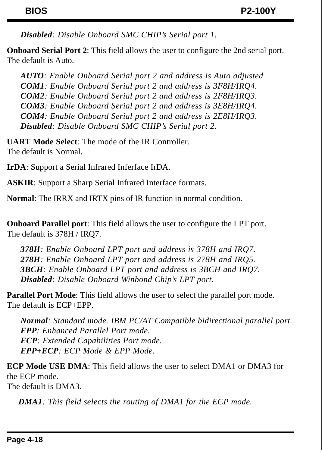*Disabled: Disable Onboard SMC CHIP's Serial port 1.*

**Onboard Serial Port 2**: This field allows the user to configure the 2nd serial port. The default is Auto.

*AUTO: Enable Onboard Serial port 2 and address is Auto adjusted COM1: Enable Onboard Serial port 2 and address is 3F8H/IRQ4. COM2: Enable Onboard Serial port 2 and address is 2F8H/IRQ3. COM3: Enable Onboard Serial port 2 and address is 3E8H/IRQ4. COM4: Enable Onboard Serial port 2 and address is 2E8H/IRQ3. Disabled: Disable Onboard SMC CHIP's Serial port 2.*

**UART Mode Select**: The mode of the IR Controller. The default is Normal.

**IrDA**: Support a Serial Infrared Inferface IrDA.

**ASKIR**: Support a Sharp Serial Infrared Interface formats.

**Normal**: The IRRX and IRTX pins of IR function in normal condition.

**Onboard Parallel port**: This field allows the user to configure the LPT port. The default is 378H / IRQ7.

*378H: Enable Onboard LPT port and address is 378H and IRQ7. 278H: Enable Onboard LPT port and address is 278H and IRQ5. 3BCH: Enable Onboard LPT port and address is 3BCH and IRQ7. Disabled: Disable Onboard Winbond Chip's LPT port.*

**Parallel Port Mode**: This field allows the user to select the parallel port mode. The default is ECP+EPP.

*Normal: Standard mode. IBM PC/AT Compatible bidirectional parallel port. EPP: Enhanced Parallel Port mode. ECP: Extended Capabilities Port mode. EPP+ECP: ECP Mode & EPP Mode.*

**ECP Mode USE DMA**: This field allows the user to select DMA1 or DMA3 for the ECP mode. The default is DMA3.

*DMA1: This field selects the routing of DMA1 for the ECP mode.*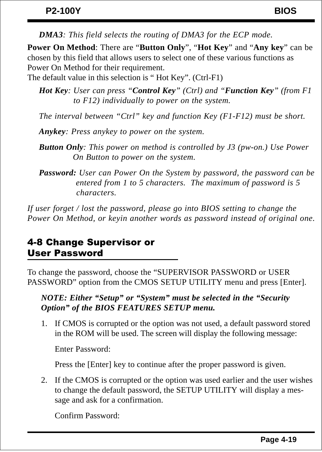*DMA3: This field selects the routing of DMA3 for the ECP mode.*

**Power On Method**: There are "**Button Only**", "**Hot Key**" and "**Any key**" can be chosen by this field that allows users to select one of these various functions as Power On Method for their requirement.

The default value in this selection is " Hot Key". (Ctrl-F1)

*Hot Key: User can press "Control Key" (Ctrl) and "Function Key" (from F1 to F12) individually to power on the system.*

*The interval between "Ctrl" key and function Key (F1-F12) must be short.*

*Anykey: Press anykey to power on the system.*

*Button Only: This power on method is controlled by J3 (pw-on.) Use Power On Button to power on the system.*

*Password: User can Power On the System by password, the password can be entered from 1 to 5 characters. The maximum of password is 5 characters.*

*If user forget / lost the password, please go into BIOS setting to change the Power On Method, or keyin another words as password instead of original one.*

# 4-8 Change Supervisor or User Password

To change the password, choose the "SUPERVISOR PASSWORD or USER PASSWORD" option from the CMOS SETUP UTILITY menu and press [Enter].

# *NOTE: Either "Setup" or "System" must be selected in the "Security Option" of the BIOS FEATURES SETUP menu.*

1. If CMOS is corrupted or the option was not used, a default password stored in the ROM will be used. The screen will display the following message:

Enter Password:

Press the [Enter] key to continue after the proper password is given.

2. If the CMOS is corrupted or the option was used earlier and the user wishes to change the default password, the SETUP UTILITY will display a message and ask for a confirmation.

Confirm Password: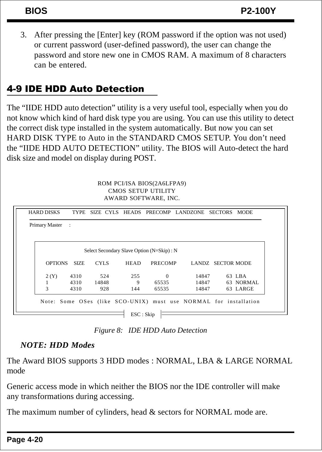3. After pressing the [Enter] key (ROM password if the option was not used) or current password (user-defined password), the user can change the password and store new one in CMOS RAM. A maximum of 8 characters can be entered.

# 4-9 IDE HDD Auto Detection

The "IIDE HDD auto detection" utility is a very useful tool, especially when you do not know which kind of hard disk type you are using. You can use this utility to detect the correct disk type installed in the system automatically. But now you can set HARD DISK TYPE to Auto in the STANDARD CMOS SETUP. You don't need the "IIDE HDD AUTO DETECTION" utility. The BIOS will Auto-detect the hard disk size and model on display during POST.

#### ROM PCI/ISA BIOS(2A6LFPA9) CMOS SETUP UTILITY AWARD SOFTWARE, INC.

|                |             |       |             | Select Secondary Slave Option (N=Skip) : N |       |                          |  |
|----------------|-------------|-------|-------------|--------------------------------------------|-------|--------------------------|--|
| <b>OPTIONS</b> | <b>SIZE</b> | CYLS. | <b>HEAD</b> | <b>PRECOMP</b>                             |       | <b>LANDZ SECTOR MODE</b> |  |
| 2(Y)           | 4310        | 524   | 255         | $\Omega$                                   | 14847 | 63 LBA                   |  |
|                | 4310        | 14848 | 9           | 65535                                      | 14847 | 63 NORMAL                |  |
| 3              | 4310        | 928   | 144         | 65535                                      | 14847 | 63 LARGE                 |  |

*Figure 8: IDE HDD Auto Detection*

### *NOTE: HDD Modes*

The Award BIOS supports 3 HDD modes : NORMAL, LBA & LARGE NORMAL mode

Generic access mode in which neither the BIOS nor the IDE controller will make any transformations during accessing.

The maximum number of cylinders, head & sectors for NORMAL mode are.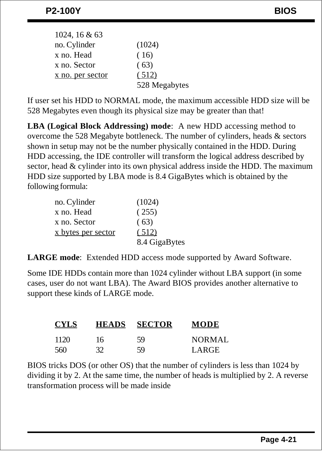| 1024, 16 $& 63$  |               |
|------------------|---------------|
| no. Cylinder     | (1024)        |
| x no. Head       | (16)          |
| x no. Sector     | (63)          |
| x no. per sector | (512)         |
|                  | 528 Megabytes |

If user set his HDD to NORMAL mode, the maximum accessible HDD size will be 528 Megabytes even though its physical size may be greater than that!

**LBA (Logical Block Addressing) mode**: A new HDD accessing method to overcome the 528 Megabyte bottleneck. The number of cylinders, heads & sectors shown in setup may not be the number physically contained in the HDD. During HDD accessing, the IDE controller will transform the logical address described by sector, head & cylinder into its own physical address inside the HDD. The maximum HDD size supported by LBA mode is 8.4 GigaBytes which is obtained by the following formula:

| (1024)        |
|---------------|
| (255)         |
| (63)          |
| (512)         |
| 8.4 GigaBytes |
|               |

**LARGE mode**: Extended HDD access mode supported by Award Software.

Some IDE HDDs contain more than 1024 cylinder without LBA support (in some cases, user do not want LBA). The Award BIOS provides another alternative to support these kinds of LARGE mode.

| <b>CYLS</b> | <b>HEADS</b> | <b>SECTOR</b> | <b>MODE</b> |
|-------------|--------------|---------------|-------------|
| 1120        | 16           | 59            | NORMAL      |
| 560         | 32           | 59            | LARGE       |

BIOS tricks DOS (or other OS) that the number of cylinders is less than 1024 by dividing it by 2. At the same time, the number of heads is multiplied by 2. A reverse transformation process will be made inside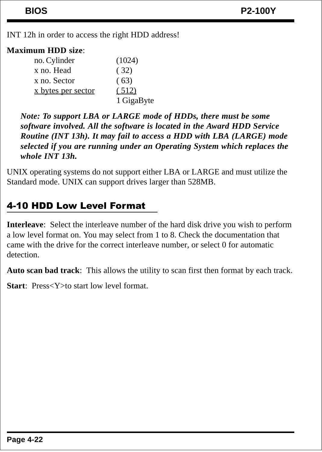INT 12h in order to access the right HDD address!

### **Maximum HDD size**:

| no. Cylinder              | (1024)     |
|---------------------------|------------|
| x no. Head                | (32)       |
| x no. Sector              | (63)       |
| <u>x bytes per sector</u> | (512)      |
|                           | 1 GigaByte |

*Note: To support LBA or LARGE mode of HDDs, there must be some software involved. All the software is located in the Award HDD Service Routine (INT 13h). It may fail to access a HDD with LBA (LARGE) mode selected if you are running under an Operating System which replaces the whole INT 13h.*

UNIX operating systems do not support either LBA or LARGE and must utilize the Standard mode. UNIX can support drives larger than 528MB.

# 4-10 HDD Low Level Format

**Interleave**: Select the interleave number of the hard disk drive you wish to perform a low level format on. You may select from 1 to 8. Check the documentation that came with the drive for the correct interleave number, or select 0 for automatic detection.

**Auto scan bad track**: This allows the utility to scan first then format by each track.

**Start:** Press<Y>to start low level format.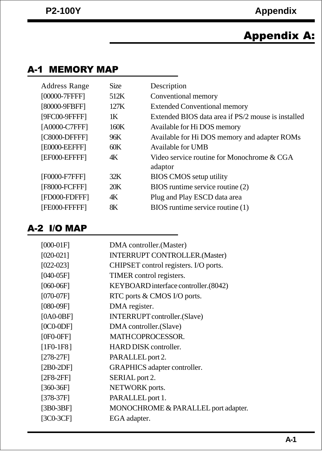# Appendix A:

# A-1 MEMORY MAP

| <b>Address Range</b> | <b>Size</b> | Description                                           |
|----------------------|-------------|-------------------------------------------------------|
| [00000-7FFFF]        | 512K        | Conventional memory                                   |
| [80000-9FBFF]        | 127K        | <b>Extended Conventional memory</b>                   |
| [9FC00-9FFFF]        | 1Κ          | Extended BIOS data area if PS/2 mouse is installed    |
| [A0000-C7FFF]        | 160K        | Available for Hi DOS memory                           |
| [C8000-DFFFF]        | 96K         | Available for Hi DOS memory and adapter ROMs          |
| [E0000-EEFFF]        | 60K         | Available for UMB                                     |
| <b>[EF000-EFFFF]</b> | 4K          | Video service routine for Monochrome & CGA<br>adaptor |
| [F0000-F7FFF]        | 32K         | <b>BIOS CMOS</b> setup utility                        |
| [F8000-FCFFF]        | 20K         | BIOS runtime service routine (2)                      |
| [FD000-FDFFF]        | 4K          | Plug and Play ESCD data area                          |
| <b>IFE000-FFFFFI</b> | 8K          | BIOS runtime service routine (1)                      |

# A-2 I/O MAP

| $[000-01$ Fl  | DMA controller. (Master)              |
|---------------|---------------------------------------|
| $[020-021]$   | <b>INTERRUPT CONTROLLER.</b> (Master) |
| $[022-023]$   | CHIPSET control registers. I/O ports. |
| $[040-05F]$   | TIMER control registers.              |
| $[060-06F]$   | KEYBOARD interface controller. (8042) |
| $[070-07F]$   | RTC ports & CMOS I/O ports.           |
| $[080-09F]$   | DMA register.                         |
| $[0A0-0BF]$   | INTERRUPT controller. (Slave)         |
| $[0C0-0DF]$   | DMA controller. (Slave)               |
| $[0F0-0FF]$   | <b>MATHCOPROCESSOR.</b>               |
| $[1F0-1F8]$   | HARD DISK controller.                 |
| $[278-27F]$   | PARALLEL port 2.                      |
| $[2B0-2DF]$   | GRAPHICS adapter controller.          |
| $[2F8-2FF]$   | SERIAL port 2.                        |
| $[360 - 36F]$ | NETWORK ports.                        |
| $[378-37F]$   | PARALLEL port 1.                      |
| $[3B0-3BF]$   | MONOCHROME & PARALLEL port adapter.   |
| [3C0-3CF]     | EGA adapter.                          |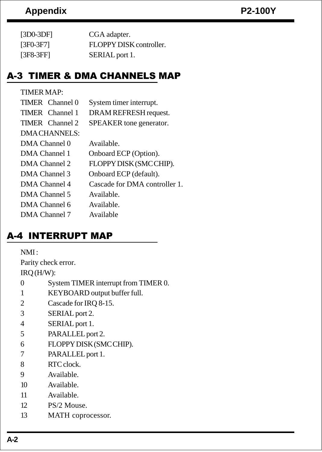# **Appendix**

| <b>P2-100Y</b> |
|----------------|
|                |

| [3D0-3DF] | CGA adapter.            |
|-----------|-------------------------|
| [3F0-3F7] | FLOPPY DISK controller. |
| [3F8-3FF] | SERIAL port 1.          |

# A-3 TIMER & DMA CHANNELS MAP

| <b>TIMER MAP:</b>      |                               |
|------------------------|-------------------------------|
| TIMER Channel 0        | System timer interrupt.       |
| <b>TIMER</b> Channel 1 | DRAM REFRESH request.         |
| TIMER Channel 2        | SPEAKER tone generator.       |
| DMA CHANNELS:          |                               |
| DMA Channel 0          | Available.                    |
| DMA Channel 1          | Onboard ECP (Option).         |
| DMA Channel 2          | FLOPPY DISK (SMCCHIP).        |
| DMA Channel 3          | Onboard ECP (default).        |
| DMA Channel 4          | Cascade for DMA controller 1. |
| DMA Channel 5          | Available.                    |
| DMA Channel 6          | Available.                    |
| DMA Channel 7          | Available                     |
|                        |                               |

# A-4 INTERRUPT MAP

NMI :

Parity check error.

IRQ (H/W):

- 0 System TIMER interrupt from TIMER 0.
- 1 KEYBOARD output buffer full.
- 2 Cascade for IRQ 8-15.
- 3 SERIAL port 2.
- 4 SERIAL port 1.
- 5 PARALLEL port 2.
- 6 FLOPPY DISK (SMC CHIP).
- 7 PARALLEL port 1.
- 8 RTC clock.
- 9 Available.
- 10 Available.
- 11 Available.
- 12 PS/2 Mouse.
- 13 MATH coprocessor.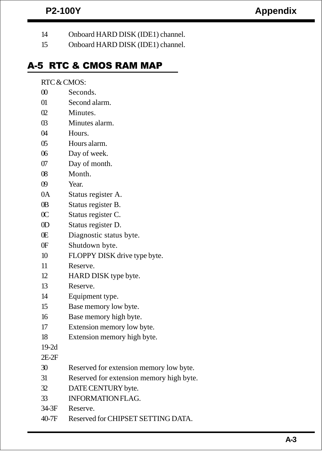- 14 Onboard HARD DISK (IDE1) channel.
- 15 Onboard HARD DISK (IDE1) channel.

# A-5 RTC & CMOS RAM MAP

RTC & CMOS:

- 00 Seconds.
- 01 Second alarm.
- 02 Minutes.
- 03 Minutes alarm.
- 04 Hours.
- 05 Hours alarm.
- 06 Day of week.
- 07 Day of month.
- 08 Month.
- 09 Year.
- 0A Status register A.
- 0B Status register B.
- 0C Status register C.
- 0D Status register D.
- 0E Diagnostic status byte.
- 0F Shutdown byte.
- 10 FLOPPY DISK drive type byte.
- 11 Reserve.
- 12 HARD DISK type byte.
- 13 Reserve.
- 14 Equipment type.
- 15 Base memory low byte.
- 16 Base memory high byte.
- 17 Extension memory low byte.
- 18 Extension memory high byte.
- 19-2d

2E-2F

- 30 Reserved for extension memory low byte.
- 31 Reserved for extension memory high byte.
- 32 DATE CENTURY byte.
- 33 INFORMATION FLAG.
- 34-3F Reserve.
- 40-7F Reserved for CHIPSET SETTING DATA.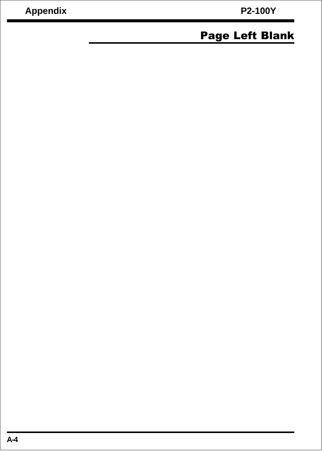# Page Left Blank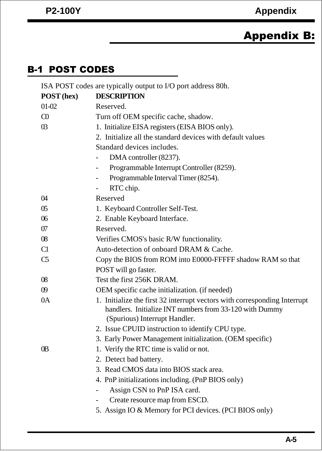# Appendix B:

# B-1 POST CODES

|                 | ISA POST codes are typically output to I/O port address 80h.                                                                                                          |  |
|-----------------|-----------------------------------------------------------------------------------------------------------------------------------------------------------------------|--|
| POST (hex)      | <b>DESCRIPTION</b>                                                                                                                                                    |  |
| 01-02           | Reserved.                                                                                                                                                             |  |
| $\infty$        | Turn off OEM specific cache, shadow.                                                                                                                                  |  |
| $\overline{03}$ | 1. Initialize EISA registers (EISA BIOS only).                                                                                                                        |  |
|                 | 2. Initialize all the standard devices with default values                                                                                                            |  |
|                 | Standard devices includes.                                                                                                                                            |  |
|                 | DMA controller (8237).                                                                                                                                                |  |
|                 | Programmable Interrupt Controller (8259).<br>÷,                                                                                                                       |  |
|                 | Programmable Interval Timer (8254).<br>$\overline{\phantom{a}}$                                                                                                       |  |
|                 | RTC chip.<br>$\frac{1}{2}$                                                                                                                                            |  |
| 04              | Reserved                                                                                                                                                              |  |
| 05              | 1. Keyboard Controller Self-Test.                                                                                                                                     |  |
| 06              | 2. Enable Keyboard Interface.                                                                                                                                         |  |
| 07              | Reserved.                                                                                                                                                             |  |
| 08              | Verifies CMOS's basic R/W functionality.                                                                                                                              |  |
| C <sub>1</sub>  | Auto-detection of onboard DRAM & Cache.                                                                                                                               |  |
| C <sub>5</sub>  | Copy the BIOS from ROM into E0000-FFFFF shadow RAM so that                                                                                                            |  |
|                 | POST will go faster.                                                                                                                                                  |  |
| 08              | Test the first 256K DRAM.                                                                                                                                             |  |
| 09              | OEM specific cache initialization. (if needed)                                                                                                                        |  |
| 0A              | 1. Initialize the first 32 interrupt vectors with corresponding Interrupt<br>handlers. Initialize INT numbers from 33-120 with Dummy<br>(Spurious) Interrupt Handler. |  |
|                 | 2. Issue CPUID instruction to identify CPU type.                                                                                                                      |  |
|                 | 3. Early Power Management initialization. (OEM specific)                                                                                                              |  |
| 0 <sub>B</sub>  | 1. Verify the RTC time is valid or not.                                                                                                                               |  |
|                 | 2. Detect bad battery.                                                                                                                                                |  |
|                 | 3. Read CMOS data into BIOS stack area.                                                                                                                               |  |
|                 | 4. PnP initializations including. (PnP BIOS only)                                                                                                                     |  |
|                 | Assign CSN to PnP ISA card.<br>$\frac{1}{2}$                                                                                                                          |  |
|                 | Create resource map from ESCD.                                                                                                                                        |  |
|                 | 5. Assign IO & Memory for PCI devices. (PCI BIOS only)                                                                                                                |  |
|                 |                                                                                                                                                                       |  |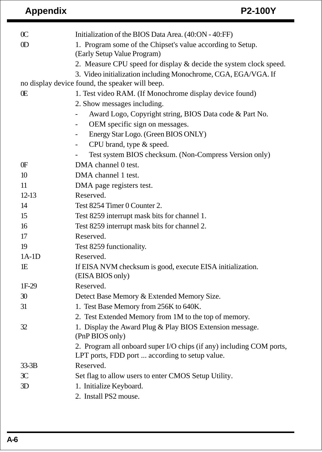| <b>Appendix</b> | <b>P2-100Y</b>                                                                                                         |  |
|-----------------|------------------------------------------------------------------------------------------------------------------------|--|
| Œ               | Initialization of the BIOS Data Area. (40:ON - 40:FF)                                                                  |  |
| 0D              | 1. Program some of the Chipset's value according to Setup.                                                             |  |
|                 | (Early Setup Value Program)                                                                                            |  |
|                 | 2. Measure CPU speed for display & decide the system clock speed.                                                      |  |
|                 | 3. Video initialization including Monochrome, CGA, EGA/VGA. If                                                         |  |
|                 | no display device found, the speaker will beep.                                                                        |  |
| Œ               | 1. Test video RAM. (If Monochrome display device found)                                                                |  |
|                 | 2. Show messages including.                                                                                            |  |
|                 | Award Logo, Copyright string, BIOS Data code & Part No.                                                                |  |
|                 | OEM specific sign on messages.                                                                                         |  |
|                 | Energy Star Logo. (Green BIOS ONLY)                                                                                    |  |
|                 | CPU brand, type & speed.                                                                                               |  |
|                 | Test system BIOS checksum. (Non-Compress Version only)                                                                 |  |
| 0F              | DMA channel 0 test.                                                                                                    |  |
| 10              | DMA channel 1 test.                                                                                                    |  |
| 11              | DMA page registers test.                                                                                               |  |
| $12 - 13$       | Reserved.                                                                                                              |  |
| 14              | Test 8254 Timer 0 Counter 2.                                                                                           |  |
| 15              | Test 8259 interrupt mask bits for channel 1.                                                                           |  |
| 16              | Test 8259 interrupt mask bits for channel 2.                                                                           |  |
| 17              | Reserved.                                                                                                              |  |
| 19              | Test 8259 functionality.                                                                                               |  |
| 1A-1D           | Reserved.                                                                                                              |  |
| 1E              | If EISA NVM checksum is good, execute EISA initialization.                                                             |  |
|                 | (EISA BIOS only)                                                                                                       |  |
| 1F-29           | Reserved.                                                                                                              |  |
| 30              | Detect Base Memory & Extended Memory Size.                                                                             |  |
| 31              | 1. Test Base Memory from 256K to 640K.                                                                                 |  |
|                 | 2. Test Extended Memory from 1M to the top of memory.                                                                  |  |
| 32              | 1. Display the Award Plug & Play BIOS Extension message.<br>(PnP BIOS only)                                            |  |
|                 | 2. Program all onboard super I/O chips (if any) including COM ports,<br>LPT ports, FDD port  according to setup value. |  |
| 33-3B           | Reserved.                                                                                                              |  |
| 3C              | Set flag to allow users to enter CMOS Setup Utility.                                                                   |  |
| 3D              | 1. Initialize Keyboard.                                                                                                |  |
|                 | 2. Install PS2 mouse.                                                                                                  |  |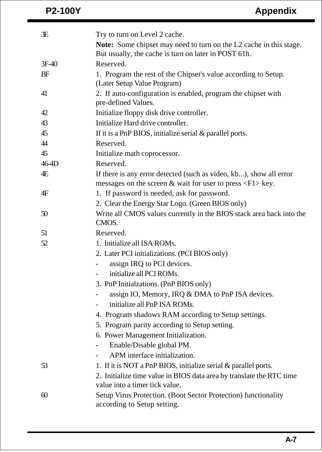| <b>P2-100Y</b> | <b>Appendix</b>                                                                                                                         |
|----------------|-----------------------------------------------------------------------------------------------------------------------------------------|
| 3E             | Try to turn on Level 2 cache.                                                                                                           |
|                | Note: Some chipset may need to turn on the L2 cache in this stage.<br>But usually, the cache is turn on later in POST 61h.              |
| 3F-40          | Reserved.                                                                                                                               |
| BF             | 1. Program the rest of the Chipset's value according to Setup.<br>(Later Setup Value Program)                                           |
| 41             | 2. If auto-configuration is enabled, program the chipset with<br>pre-defined Values.                                                    |
| 42             | Initialize floppy disk drive controller.                                                                                                |
| 43             | Initialize Hard drive controller.                                                                                                       |
| 45             | If it is a PnP BIOS, initialize serial & parallel ports.                                                                                |
| 44             | Reserved.                                                                                                                               |
| 45             | Initialize math coprocessor.                                                                                                            |
| $46-4D$        | Reserved.                                                                                                                               |
| 4E             | If there is any error detected (such as video, kb), show all error<br>messages on the screen $\&$ wait for user to press <f1> key.</f1> |
| 4F             | 1. If password is needed, ask for password.                                                                                             |
|                | 2. Clear the Energy Star Logo. (Green BIOS only)                                                                                        |
| 50             | Write all CMOS values currently in the BIOS stack area back into the<br>CMOS.                                                           |
| 51             | Reserved.                                                                                                                               |
| 52             | 1. Initialize all ISA ROMs.                                                                                                             |
|                | 2. Later PCI initializations. (PCI BIOS only)                                                                                           |
|                | assign IRQ to PCI devices.                                                                                                              |
|                | initialize all PCI ROMs.                                                                                                                |
|                | 3. PnP Initialzations. (PnP BIOS only)                                                                                                  |
|                | assign IO, Memory, IRQ & DMA to PnP ISA devices.                                                                                        |
|                | initialize all PnP ISA ROMs.                                                                                                            |
|                | 4. Program shadows RAM according to Setup settings.                                                                                     |
|                | 5. Program parity according to Setup setting.                                                                                           |
|                | 6. Power Management Initialization.                                                                                                     |
|                | Enable/Disable global PM.                                                                                                               |
|                | APM interface initialization.                                                                                                           |
| 53             | 1. If it is NOT a PnP BIOS, initialize serial & parallel ports.                                                                         |
|                | 2. Initialize time value in BIOS data area by translate the RTC time                                                                    |
|                | value into a timer tick value.                                                                                                          |
| 60             | Setup Virus Protection. (Boot Sector Protection) functionality<br>according to Setup setting.                                           |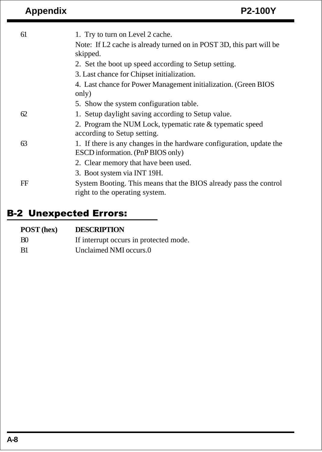| <b>Appendix</b> | <b>P2-100Y</b>                                                                                            |
|-----------------|-----------------------------------------------------------------------------------------------------------|
| 61              | 1. Try to turn on Level 2 cache.                                                                          |
|                 | Note: If L2 cache is already turned on in POST 3D, this part will be<br>skipped.                          |
|                 | 2. Set the boot up speed according to Setup setting.                                                      |
|                 | 3. Last chance for Chipset initialization.                                                                |
|                 | 4. Last chance for Power Management initialization. (Green BIOS<br>only)                                  |
|                 | 5. Show the system configuration table.                                                                   |
| 62              | 1. Setup daylight saving according to Setup value.                                                        |
|                 | 2. Program the NUM Lock, typematic rate & typematic speed<br>according to Setup setting.                  |
| 63              | 1. If there is any changes in the hardware configuration, update the<br>ESCD information. (PnP BIOS only) |
|                 | 2. Clear memory that have been used.                                                                      |
|                 | 3. Boot system via INT 19H.                                                                               |
| FF              | System Booting. This means that the BIOS already pass the control<br>right to the operating system.       |

# B-2 Unexpected Errors:

| POST (hex) | <b>DESCRIPTION</b>                     |
|------------|----------------------------------------|
| BO.        | If interrupt occurs in protected mode. |
| B1         | Unclaimed NMI occurs.0                 |